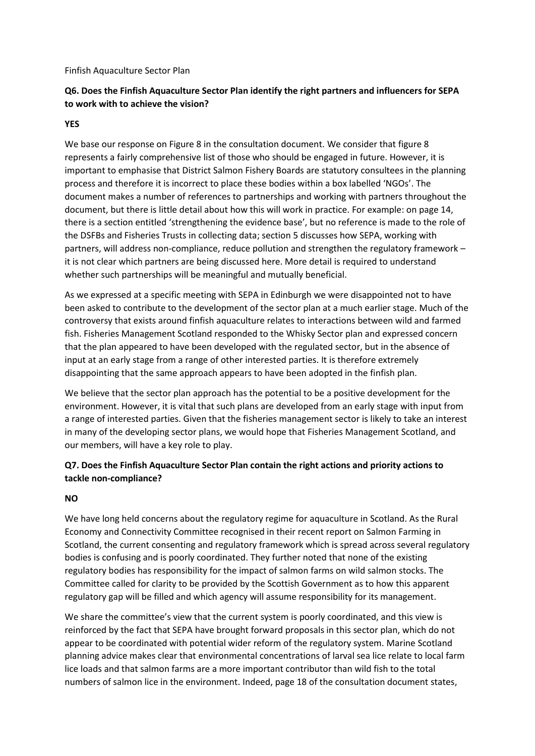#### Finfish Aquaculture Sector Plan

# **Q6. Does the Finfish Aquaculture Sector Plan identify the right partners and influencers for SEPA to work with to achieve the vision?**

### **YES**

We base our response on Figure 8 in the consultation document. We consider that figure 8 represents a fairly comprehensive list of those who should be engaged in future. However, it is important to emphasise that District Salmon Fishery Boards are statutory consultees in the planning process and therefore it is incorrect to place these bodies within a box labelled 'NGOs'. The document makes a number of references to partnerships and working with partners throughout the document, but there is little detail about how this will work in practice. For example: on page 14, there is a section entitled 'strengthening the evidence base', but no reference is made to the role of the DSFBs and Fisheries Trusts in collecting data; section 5 discusses how SEPA, working with partners, will address non-compliance, reduce pollution and strengthen the regulatory framework – it is not clear which partners are being discussed here. More detail is required to understand whether such partnerships will be meaningful and mutually beneficial.

As we expressed at a specific meeting with SEPA in Edinburgh we were disappointed not to have been asked to contribute to the development of the sector plan at a much earlier stage. Much of the controversy that exists around finfish aquaculture relates to interactions between wild and farmed fish. Fisheries Management Scotland responded to the Whisky Sector plan and expressed concern that the plan appeared to have been developed with the regulated sector, but in the absence of input at an early stage from a range of other interested parties. It is therefore extremely disappointing that the same approach appears to have been adopted in the finfish plan.

We believe that the sector plan approach has the potential to be a positive development for the environment. However, it is vital that such plans are developed from an early stage with input from a range of interested parties. Given that the fisheries management sector is likely to take an interest in many of the developing sector plans, we would hope that Fisheries Management Scotland, and our members, will have a key role to play.

## **Q7. Does the Finfish Aquaculture Sector Plan contain the right actions and priority actions to tackle non-compliance?**

#### **NO**

We have long held concerns about the regulatory regime for aquaculture in Scotland. As the Rural Economy and Connectivity Committee recognised in their recent report on Salmon Farming in Scotland, the current consenting and regulatory framework which is spread across several regulatory bodies is confusing and is poorly coordinated. They further noted that none of the existing regulatory bodies has responsibility for the impact of salmon farms on wild salmon stocks. The Committee called for clarity to be provided by the Scottish Government as to how this apparent regulatory gap will be filled and which agency will assume responsibility for its management.

We share the committee's view that the current system is poorly coordinated, and this view is reinforced by the fact that SEPA have brought forward proposals in this sector plan, which do not appear to be coordinated with potential wider reform of the regulatory system. Marine Scotland planning advice makes clear that environmental concentrations of larval sea lice relate to local farm lice loads and that salmon farms are a more important contributor than wild fish to the total numbers of salmon lice in the environment. Indeed, page 18 of the consultation document states,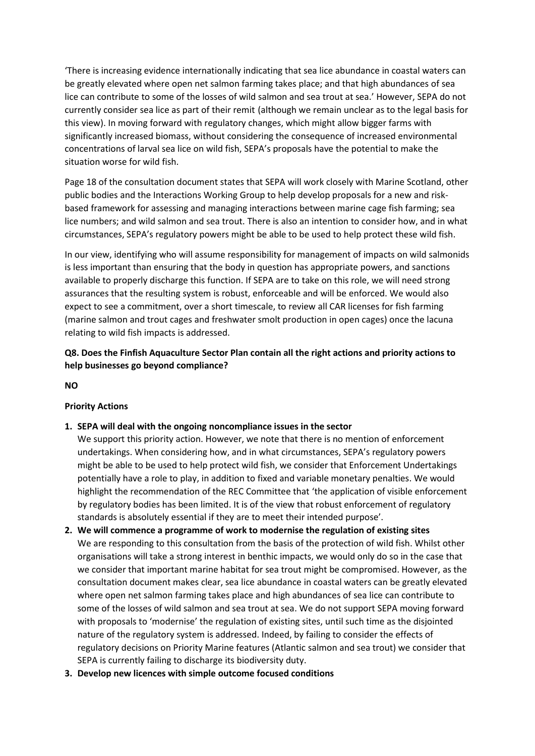'There is increasing evidence internationally indicating that sea lice abundance in coastal waters can be greatly elevated where open net salmon farming takes place; and that high abundances of sea lice can contribute to some of the losses of wild salmon and sea trout at sea.' However, SEPA do not currently consider sea lice as part of their remit (although we remain unclear as to the legal basis for this view). In moving forward with regulatory changes, which might allow bigger farms with significantly increased biomass, without considering the consequence of increased environmental concentrations of larval sea lice on wild fish, SEPA's proposals have the potential to make the situation worse for wild fish.

Page 18 of the consultation document states that SEPA will work closely with Marine Scotland, other public bodies and the Interactions Working Group to help develop proposals for a new and riskbased framework for assessing and managing interactions between marine cage fish farming; sea lice numbers; and wild salmon and sea trout. There is also an intention to consider how, and in what circumstances, SEPA's regulatory powers might be able to be used to help protect these wild fish.

In our view, identifying who will assume responsibility for management of impacts on wild salmonids is less important than ensuring that the body in question has appropriate powers, and sanctions available to properly discharge this function. If SEPA are to take on this role, we will need strong assurances that the resulting system is robust, enforceable and will be enforced. We would also expect to see a commitment, over a short timescale, to review all CAR licenses for fish farming (marine salmon and trout cages and freshwater smolt production in open cages) once the lacuna relating to wild fish impacts is addressed.

# **Q8. Does the Finfish Aquaculture Sector Plan contain all the right actions and priority actions to help businesses go beyond compliance?**

**NO**

## **Priority Actions**

- **1. SEPA will deal with the ongoing noncompliance issues in the sector**
	- We support this priority action. However, we note that there is no mention of enforcement undertakings. When considering how, and in what circumstances, SEPA's regulatory powers might be able to be used to help protect wild fish, we consider that Enforcement Undertakings potentially have a role to play, in addition to fixed and variable monetary penalties. We would highlight the recommendation of the REC Committee that 'the application of visible enforcement by regulatory bodies has been limited. It is of the view that robust enforcement of regulatory standards is absolutely essential if they are to meet their intended purpose'.
- **2. We will commence a programme of work to modernise the regulation of existing sites** We are responding to this consultation from the basis of the protection of wild fish. Whilst other organisations will take a strong interest in benthic impacts, we would only do so in the case that we consider that important marine habitat for sea trout might be compromised. However, as the consultation document makes clear, sea lice abundance in coastal waters can be greatly elevated where open net salmon farming takes place and high abundances of sea lice can contribute to some of the losses of wild salmon and sea trout at sea. We do not support SEPA moving forward with proposals to 'modernise' the regulation of existing sites, until such time as the disjointed nature of the regulatory system is addressed. Indeed, by failing to consider the effects of regulatory decisions on Priority Marine features (Atlantic salmon and sea trout) we consider that SEPA is currently failing to discharge its biodiversity duty.
- **3. Develop new licences with simple outcome focused conditions**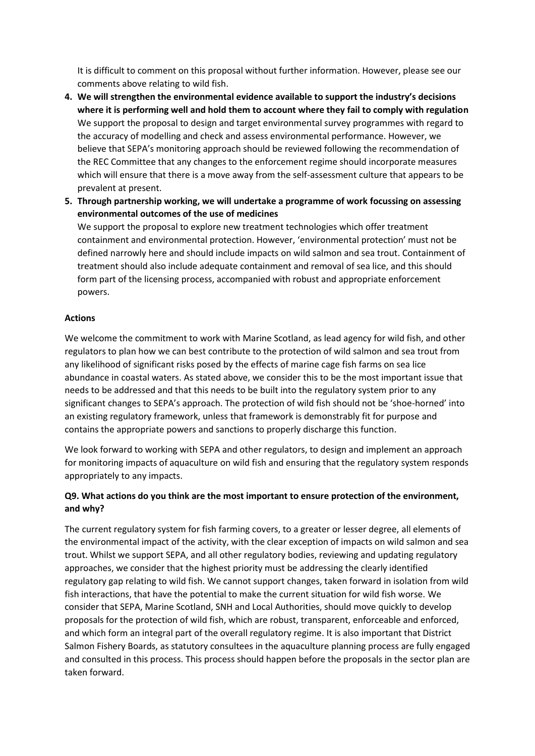It is difficult to comment on this proposal without further information. However, please see our comments above relating to wild fish.

- **4. We will strengthen the environmental evidence available to support the industry's decisions where it is performing well and hold them to account where they fail to comply with regulation** We support the proposal to design and target environmental survey programmes with regard to the accuracy of modelling and check and assess environmental performance. However, we believe that SEPA's monitoring approach should be reviewed following the recommendation of the REC Committee that any changes to the enforcement regime should incorporate measures which will ensure that there is a move away from the self-assessment culture that appears to be prevalent at present.
- **5. Through partnership working, we will undertake a programme of work focussing on assessing environmental outcomes of the use of medicines**

We support the proposal to explore new treatment technologies which offer treatment containment and environmental protection. However, 'environmental protection' must not be defined narrowly here and should include impacts on wild salmon and sea trout. Containment of treatment should also include adequate containment and removal of sea lice, and this should form part of the licensing process, accompanied with robust and appropriate enforcement powers.

## **Actions**

We welcome the commitment to work with Marine Scotland, as lead agency for wild fish, and other regulators to plan how we can best contribute to the protection of wild salmon and sea trout from any likelihood of significant risks posed by the effects of marine cage fish farms on sea lice abundance in coastal waters. As stated above, we consider this to be the most important issue that needs to be addressed and that this needs to be built into the regulatory system prior to any significant changes to SEPA's approach. The protection of wild fish should not be 'shoe-horned' into an existing regulatory framework, unless that framework is demonstrably fit for purpose and contains the appropriate powers and sanctions to properly discharge this function.

We look forward to working with SEPA and other regulators, to design and implement an approach for monitoring impacts of aquaculture on wild fish and ensuring that the regulatory system responds appropriately to any impacts.

# **Q9. What actions do you think are the most important to ensure protection of the environment, and why?**

The current regulatory system for fish farming covers, to a greater or lesser degree, all elements of the environmental impact of the activity, with the clear exception of impacts on wild salmon and sea trout. Whilst we support SEPA, and all other regulatory bodies, reviewing and updating regulatory approaches, we consider that the highest priority must be addressing the clearly identified regulatory gap relating to wild fish. We cannot support changes, taken forward in isolation from wild fish interactions, that have the potential to make the current situation for wild fish worse. We consider that SEPA, Marine Scotland, SNH and Local Authorities, should move quickly to develop proposals for the protection of wild fish, which are robust, transparent, enforceable and enforced, and which form an integral part of the overall regulatory regime. It is also important that District Salmon Fishery Boards, as statutory consultees in the aquaculture planning process are fully engaged and consulted in this process. This process should happen before the proposals in the sector plan are taken forward.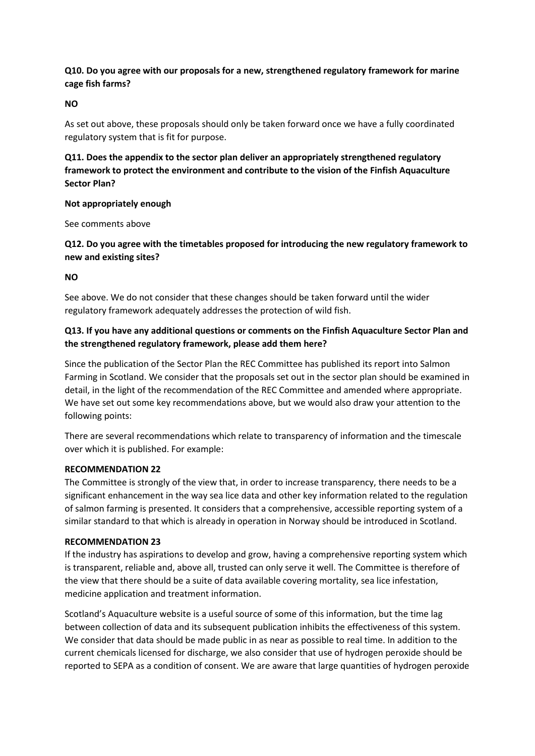## **Q10. Do you agree with our proposals for a new, strengthened regulatory framework for marine cage fish farms?**

### **NO**

As set out above, these proposals should only be taken forward once we have a fully coordinated regulatory system that is fit for purpose.

**Q11. Does the appendix to the sector plan deliver an appropriately strengthened regulatory framework to protect the environment and contribute to the vision of the Finfish Aquaculture Sector Plan?**

### **Not appropriately enough**

See comments above

# **Q12. Do you agree with the timetables proposed for introducing the new regulatory framework to new and existing sites?**

### **NO**

See above. We do not consider that these changes should be taken forward until the wider regulatory framework adequately addresses the protection of wild fish.

## **Q13. If you have any additional questions or comments on the Finfish Aquaculture Sector Plan and the strengthened regulatory framework, please add them here?**

Since the publication of the Sector Plan the REC Committee has published its report into Salmon Farming in Scotland. We consider that the proposals set out in the sector plan should be examined in detail, in the light of the recommendation of the REC Committee and amended where appropriate. We have set out some key recommendations above, but we would also draw your attention to the following points:

There are several recommendations which relate to transparency of information and the timescale over which it is published. For example:

#### **RECOMMENDATION 22**

The Committee is strongly of the view that, in order to increase transparency, there needs to be a significant enhancement in the way sea lice data and other key information related to the regulation of salmon farming is presented. It considers that a comprehensive, accessible reporting system of a similar standard to that which is already in operation in Norway should be introduced in Scotland.

#### **RECOMMENDATION 23**

If the industry has aspirations to develop and grow, having a comprehensive reporting system which is transparent, reliable and, above all, trusted can only serve it well. The Committee is therefore of the view that there should be a suite of data available covering mortality, sea lice infestation, medicine application and treatment information.

Scotland's Aquaculture website is a useful source of some of this information, but the time lag between collection of data and its subsequent publication inhibits the effectiveness of this system. We consider that data should be made public in as near as possible to real time. In addition to the current chemicals licensed for discharge, we also consider that use of hydrogen peroxide should be reported to SEPA as a condition of consent. We are aware that large quantities of hydrogen peroxide